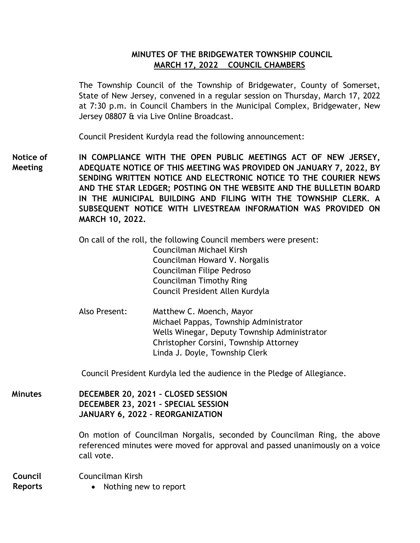## **MINUTES OF THE BRIDGEWATER TOWNSHIP COUNCIL MARCH 17, 2022 COUNCIL CHAMBERS**

The Township Council of the Township of Bridgewater, County of Somerset, State of New Jersey, convened in a regular session on Thursday, March 17, 2022 at 7:30 p.m. in Council Chambers in the Municipal Complex, Bridgewater, New Jersey 08807 & via Live Online Broadcast.

Council President Kurdyla read the following announcement:

**IN COMPLIANCE WITH THE OPEN PUBLIC MEETINGS ACT OF NEW JERSEY, ADEQUATE NOTICE OF THIS MEETING WAS PROVIDED ON JANUARY 7, 2022, BY SENDING WRITTEN NOTICE AND ELECTRONIC NOTICE TO THE COURIER NEWS AND THE STAR LEDGER; POSTING ON THE WEBSITE AND THE BULLETIN BOARD IN THE MUNICIPAL BUILDING AND FILING WITH THE TOWNSHIP CLERK. A SUBSEQUENT NOTICE WITH LIVESTREAM INFORMATION WAS PROVIDED ON MARCH 10, 2022. Notice of Meeting**

> On call of the roll, the following Council members were present: Councilman Michael Kirsh Councilman Howard V. Norgalis Councilman Filipe Pedroso Councilman Timothy Ring Council President Allen Kurdyla

Also Present: Matthew C. Moench, Mayor Michael Pappas, Township Administrator Wells Winegar, Deputy Township Administrator Christopher Corsini, Township Attorney Linda J. Doyle, Township Clerk

Council President Kurdyla led the audience in the Pledge of Allegiance.

**DECEMBER 20, 2021 – CLOSED SESSION DECEMBER 23, 2021 – SPECIAL SESSION JANUARY 6, 2022 – REORGANIZATION Minutes**

> On motion of Councilman Norgalis, seconded by Councilman Ring, the above referenced minutes were moved for approval and passed unanimously on a voice call vote.

Councilman Kirsh • Nothing new to report **Council Reports**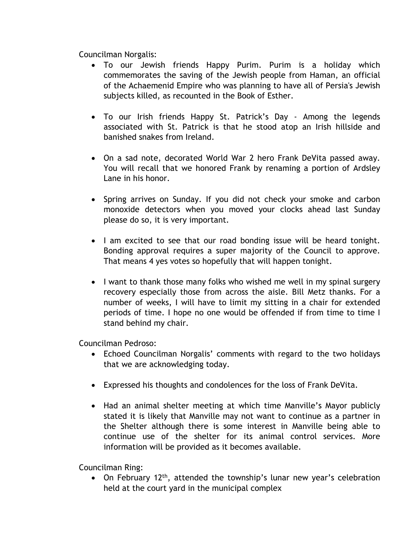Councilman Norgalis:

- To our Jewish friends Happy Purim. Purim is a holiday which commemorates the saving of the Jewish people from Haman, an official of the Achaemenid Empire who was planning to have all of Persia's Jewish subjects killed, as recounted in the Book of Esther.
- To our Irish friends Happy St. Patrick's Day Among the legends associated with St. Patrick is that he stood atop an Irish hillside and banished snakes from Ireland.
- On a sad note, decorated World War 2 hero Frank DeVita passed away. You will recall that we honored Frank by renaming a portion of Ardsley Lane in his honor.
- Spring arrives on Sunday. If you did not check your smoke and carbon monoxide detectors when you moved your clocks ahead last Sunday please do so, it is very important.
- I am excited to see that our road bonding issue will be heard tonight. Bonding approval requires a super majority of the Council to approve. That means 4 yes votes so hopefully that will happen tonight.
- I want to thank those many folks who wished me well in my spinal surgery recovery especially those from across the aisle. Bill Metz thanks. For a number of weeks, I will have to limit my sitting in a chair for extended periods of time. I hope no one would be offended if from time to time I stand behind my chair.

Councilman Pedroso:

- Echoed Councilman Norgalis' comments with regard to the two holidays that we are acknowledging today.
- Expressed his thoughts and condolences for the loss of Frank DeVita.
- Had an animal shelter meeting at which time Manville's Mayor publicly stated it is likely that Manville may not want to continue as a partner in the Shelter although there is some interest in Manville being able to continue use of the shelter for its animal control services. More information will be provided as it becomes available.

Councilman Ring:

• On February 12<sup>th</sup>, attended the township's lunar new year's celebration held at the court yard in the municipal complex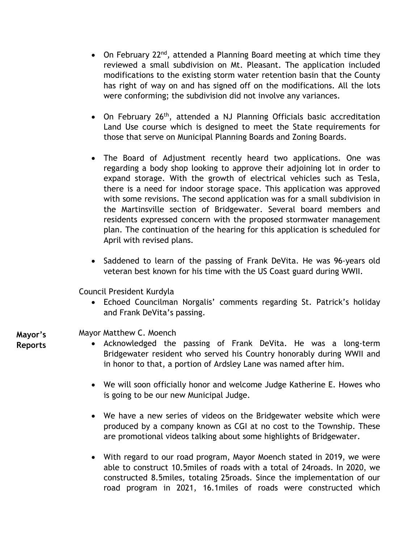- On February 22<sup>nd</sup>, attended a Planning Board meeting at which time they reviewed a small subdivision on Mt. Pleasant. The application included modifications to the existing storm water retention basin that the County has right of way on and has signed off on the modifications. All the lots were conforming; the subdivision did not involve any variances.
- On February 26<sup>th</sup>, attended a NJ Planning Officials basic accreditation Land Use course which is designed to meet the State requirements for those that serve on Municipal Planning Boards and Zoning Boards.
- The Board of Adjustment recently heard two applications. One was regarding a body shop looking to approve their adjoining lot in order to expand storage. With the growth of electrical vehicles such as Tesla, there is a need for indoor storage space. This application was approved with some revisions. The second application was for a small subdivision in the Martinsville section of Bridgewater. Several board members and residents expressed concern with the proposed stormwater management plan. The continuation of the hearing for this application is scheduled for April with revised plans.
- Saddened to learn of the passing of Frank DeVita. He was 96-years old veteran best known for his time with the US Coast guard during WWII.

Council President Kurdyla

 Echoed Councilman Norgalis' comments regarding St. Patrick's holiday and Frank DeVita's passing.

**Mayor's** 

- **Reports**
- Mayor Matthew C. Moench
	- Acknowledged the passing of Frank DeVita. He was a long-term Bridgewater resident who served his Country honorably during WWII and in honor to that, a portion of Ardsley Lane was named after him.
		- We will soon officially honor and welcome Judge Katherine E. Howes who is going to be our new Municipal Judge.
		- We have a new series of videos on the Bridgewater website which were produced by a company known as CGI at no cost to the Township. These are promotional videos talking about some highlights of Bridgewater.
		- With regard to our road program, Mayor Moench stated in 2019, we were able to construct 10.5miles of roads with a total of 24roads. In 2020, we constructed 8.5miles, totaling 25roads. Since the implementation of our road program in 2021, 16.1miles of roads were constructed which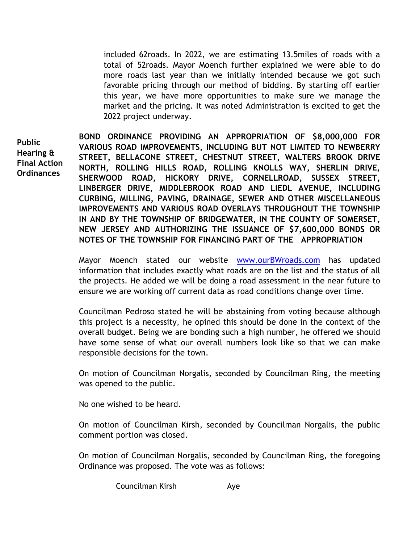included 62roads. In 2022, we are estimating 13.5miles of roads with a total of 52roads. Mayor Moench further explained we were able to do more roads last year than we initially intended because we got such favorable pricing through our method of bidding. By starting off earlier this year, we have more opportunities to make sure we manage the market and the pricing. It was noted Administration is excited to get the 2022 project underway.

**Public Hearing & Final Action Ordinances** 

**BOND ORDINANCE PROVIDING AN APPROPRIATION OF \$8,000,000 FOR VARIOUS ROAD IMPROVEMENTS, INCLUDING BUT NOT LIMITED TO NEWBERRY STREET, BELLACONE STREET, CHESTNUT STREET, WALTERS BROOK DRIVE NORTH, ROLLING HILLS ROAD, ROLLING KNOLLS WAY, SHERLIN DRIVE, SHERWOOD ROAD, HICKORY DRIVE, CORNELLROAD, SUSSEX STREET, LINBERGER DRIVE, MIDDLEBROOK ROAD AND LIEDL AVENUE, INCLUDING CURBING, MILLING, PAVING, DRAINAGE, SEWER AND OTHER MISCELLANEOUS IMPROVEMENTS AND VARIOUS ROAD OVERLAYS THROUGHOUT THE TOWNSHIP IN AND BY THE TOWNSHIP OF BRIDGEWATER, IN THE COUNTY OF SOMERSET, NEW JERSEY AND AUTHORIZING THE ISSUANCE OF \$7,600,000 BONDS OR NOTES OF THE TOWNSHIP FOR FINANCING PART OF THE APPROPRIATION** 

Mayor Moench stated our website [www.ourBWroads.com](http://www.ourbwroads.com/) has updated information that includes exactly what roads are on the list and the status of all the projects. He added we will be doing a road assessment in the near future to ensure we are working off current data as road conditions change over time.

Councilman Pedroso stated he will be abstaining from voting because although this project is a necessity, he opined this should be done in the context of the overall budget. Being we are bonding such a high number, he offered we should have some sense of what our overall numbers look like so that we can make responsible decisions for the town.

On motion of Councilman Norgalis, seconded by Councilman Ring, the meeting was opened to the public.

No one wished to be heard.

On motion of Councilman Kirsh, seconded by Councilman Norgalis, the public comment portion was closed.

On motion of Councilman Norgalis, seconded by Councilman Ring, the foregoing Ordinance was proposed. The vote was as follows:

Councilman Kirsh Aye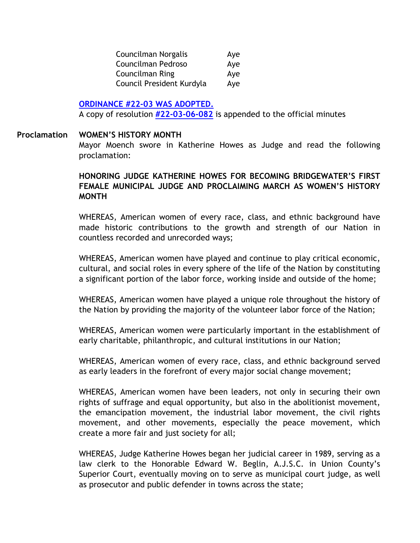| Councilman Norgalis       | Aye |
|---------------------------|-----|
| Councilman Pedroso        | Aye |
| Councilman Ring           | Aye |
| Council President Kurdyla | Aye |

## **[ORDINANCE #22-03 WAS ADOPTED.](https://www.bridgewaternj.gov/wp-content/uploads/2022/06/22-03-Bond-Ordinance-8-Mil-Road-Improvements.pdf)**

A copy of resolution **[#22-03-06-082](https://www.bridgewaternj.gov/wp-content/uploads/2022/06/22-03-17-082.pdf)** is appended to the official minutes

#### **WOMEN'S HISTORY MONTH Proclamation**

Mayor Moench swore in Katherine Howes as Judge and read the following proclamation:

## **HONORING JUDGE KATHERINE HOWES FOR BECOMING BRIDGEWATER'S FIRST FEMALE MUNICIPAL JUDGE AND PROCLAIMING MARCH AS WOMEN'S HISTORY MONTH**

WHEREAS, American women of every race, class, and ethnic background have made historic contributions to the growth and strength of our Nation in countless recorded and unrecorded ways;

WHEREAS, American women have played and continue to play critical economic, cultural, and social roles in every sphere of the life of the Nation by constituting a significant portion of the labor force, working inside and outside of the home;

WHEREAS, American women have played a unique role throughout the history of the Nation by providing the majority of the volunteer labor force of the Nation;

WHEREAS, American women were particularly important in the establishment of early charitable, philanthropic, and cultural institutions in our Nation;

WHEREAS, American women of every race, class, and ethnic background served as early leaders in the forefront of every major social change movement;

WHEREAS, American women have been leaders, not only in securing their own rights of suffrage and equal opportunity, but also in the abolitionist movement, the emancipation movement, the industrial labor movement, the civil rights movement, and other movements, especially the peace movement, which create a more fair and just society for all;

WHEREAS, Judge Katherine Howes began her judicial career in 1989, serving as a law clerk to the Honorable Edward W. Beglin, A.J.S.C. in Union County's Superior Court, eventually moving on to serve as municipal court judge, as well as prosecutor and public defender in towns across the state;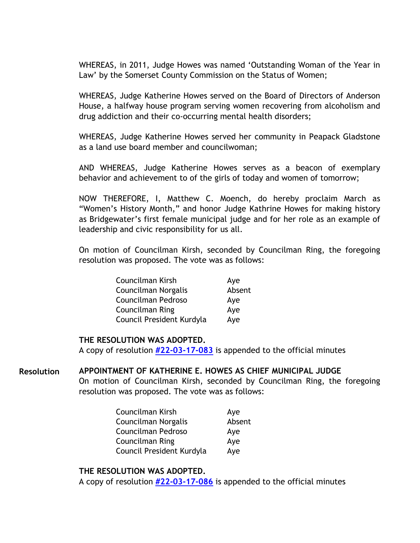WHEREAS, in 2011, Judge Howes was named 'Outstanding Woman of the Year in Law' by the Somerset County Commission on the Status of Women;

WHEREAS, Judge Katherine Howes served on the Board of Directors of Anderson House, a halfway house program serving women recovering from alcoholism and drug addiction and their co-occurring mental health disorders;

WHEREAS, Judge Katherine Howes served her community in Peapack Gladstone as a land use board member and councilwoman;

AND WHEREAS, Judge Katherine Howes serves as a beacon of exemplary behavior and achievement to of the girls of today and women of tomorrow;

NOW THEREFORE, I, Matthew C. Moench, do hereby proclaim March as "Women's History Month," and honor Judge Kathrine Howes for making history as Bridgewater's first female municipal judge and for her role as an example of leadership and civic responsibility for us all.

On motion of Councilman Kirsh, seconded by Councilman Ring, the foregoing resolution was proposed. The vote was as follows:

| Councilman Kirsh          | Aye    |
|---------------------------|--------|
| Councilman Norgalis       | Absent |
| Councilman Pedroso        | Aye    |
| Councilman Ring           | Aye    |
| Council President Kurdyla | Aye    |

## **THE RESOLUTION WAS ADOPTED.**

A copy of resolution **[#22-03-17-083](https://www.bridgewaternj.gov/wp-content/uploads/2022/06/22-03-17-083.pdf)** is appended to the official minutes

#### **APPOINTMENT OF KATHERINE E. HOWES AS CHIEF MUNICIPAL JUDGE Resolution**

On motion of Councilman Kirsh, seconded by Councilman Ring, the foregoing resolution was proposed. The vote was as follows:

| Councilman Kirsh          | Aye    |
|---------------------------|--------|
| Councilman Norgalis       | Absent |
| Councilman Pedroso        | Aye    |
| Councilman Ring           | Aye    |
| Council President Kurdyla | Aye    |

## **THE RESOLUTION WAS ADOPTED.**

A copy of resolution **[#22-03-17-086](https://www.bridgewaternj.gov/wp-content/uploads/2022/06/22-03-17-086.pdf)** is appended to the official minutes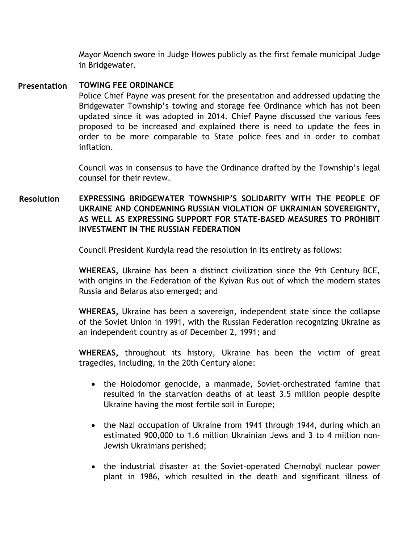Mayor Moench swore in Judge Howes publicly as the first female municipal Judge in Bridgewater.

#### **TOWING FEE ORDINANCE Presentation**

Police Chief Payne was present for the presentation and addressed updating the Bridgewater Township's towing and storage fee Ordinance which has not been updated since it was adopted in 2014. Chief Payne discussed the various fees proposed to be increased and explained there is need to update the fees in order to be more comparable to State police fees and in order to combat inflation.

Council was in consensus to have the Ordinance drafted by the Township's legal counsel for their review.

#### **EXPRESSING BRIDGEWATER TOWNSHIP'S SOLIDARITY WITH THE PEOPLE OF UKRAINE AND CONDEMNING RUSSIAN VIOLATION OF UKRAINIAN SOVEREIGNTY, AS WELL AS EXPRESSING SUPPORT FOR STATE-BASED MEASURES TO PROHIBIT INVESTMENT IN THE RUSSIAN FEDERATION Resolution**

Council President Kurdyla read the resolution in its entirety as follows:

**WHEREAS,** Ukraine has been a distinct civilization since the 9th Century BCE, with origins in the Federation of the Kyivan Rus out of which the modern states Russia and Belarus also emerged; and

**WHEREAS,** Ukraine has been a sovereign, independent state since the collapse of the Soviet Union in 1991, with the Russian Federation recognizing Ukraine as an independent country as of December 2, 1991; and

**WHEREAS,** throughout its history, Ukraine has been the victim of great tragedies, including, in the 20th Century alone:

- the Holodomor genocide, a manmade, Soviet-orchestrated famine that resulted in the starvation deaths of at least 3.5 million people despite Ukraine having the most fertile soil in Europe;
- the Nazi occupation of Ukraine from 1941 through 1944, during which an estimated 900,000 to 1.6 million Ukrainian Jews and 3 to 4 million non-Jewish Ukrainians perished;
- the industrial disaster at the Soviet-operated Chernobyl nuclear power plant in 1986, which resulted in the death and significant illness of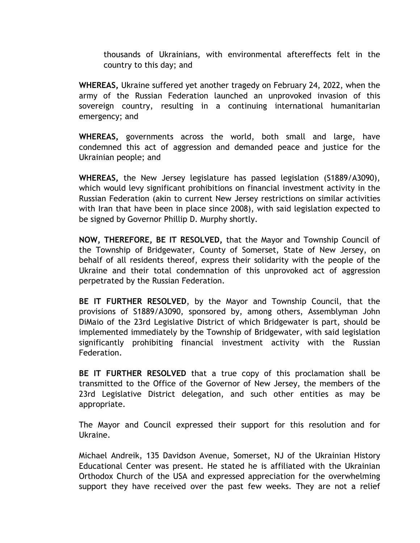thousands of Ukrainians, with environmental aftereffects felt in the country to this day; and

**WHEREAS,** Ukraine suffered yet another tragedy on February 24, 2022, when the army of the Russian Federation launched an unprovoked invasion of this sovereign country, resulting in a continuing international humanitarian emergency; and

**WHEREAS,** governments across the world, both small and large, have condemned this act of aggression and demanded peace and justice for the Ukrainian people; and

**WHEREAS,** the New Jersey legislature has passed legislation (S1889/A3090), which would levy significant prohibitions on financial investment activity in the Russian Federation (akin to current New Jersey restrictions on similar activities with Iran that have been in place since 2008), with said legislation expected to be signed by Governor Phillip D. Murphy shortly.

**NOW, THEREFORE, BE IT RESOLVED,** that the Mayor and Township Council of the Township of Bridgewater, County of Somerset, State of New Jersey, on behalf of all residents thereof, express their solidarity with the people of the Ukraine and their total condemnation of this unprovoked act of aggression perpetrated by the Russian Federation.

**BE IT FURTHER RESOLVED**, by the Mayor and Township Council, that the provisions of S1889/A3090, sponsored by, among others, Assemblyman John DiMaio of the 23rd Legislative District of which Bridgewater is part, should be implemented immediately by the Township of Bridgewater, with said legislation significantly prohibiting financial investment activity with the Russian Federation.

**BE IT FURTHER RESOLVED** that a true copy of this proclamation shall be transmitted to the Office of the Governor of New Jersey, the members of the 23rd Legislative District delegation, and such other entities as may be appropriate.

The Mayor and Council expressed their support for this resolution and for Ukraine.

Michael Andreik, 135 Davidson Avenue, Somerset, NJ of the Ukrainian History Educational Center was present. He stated he is affiliated with the Ukrainian Orthodox Church of the USA and expressed appreciation for the overwhelming support they have received over the past few weeks. They are not a relief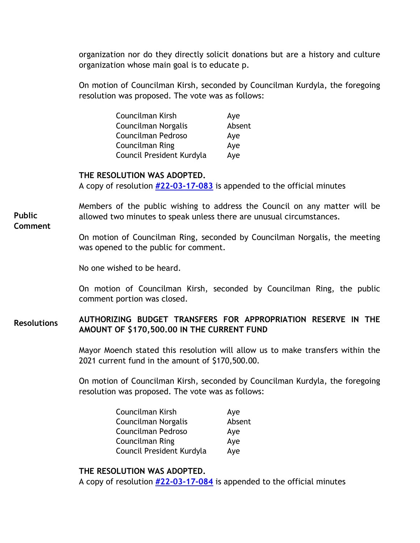organization nor do they directly solicit donations but are a history and culture organization whose main goal is to educate p.

On motion of Councilman Kirsh, seconded by Councilman Kurdyla, the foregoing resolution was proposed. The vote was as follows:

| Councilman Kirsh          | Aye    |
|---------------------------|--------|
| Councilman Norgalis       | Absent |
| Councilman Pedroso        | Aye    |
| <b>Councilman Ring</b>    | Aye    |
| Council President Kurdyla | Aye    |

## **THE RESOLUTION WAS ADOPTED.**

A copy of resolution **[#22-03-17-083](https://www.bridgewaternj.gov/wp-content/uploads/2022/06/22-03-17-083.pdf)** is appended to the official minutes

Members of the public wishing to address the Council on any matter will be allowed two minutes to speak unless there are unusual circumstances. **Public** 

**Comment** 

On motion of Councilman Ring, seconded by Councilman Norgalis, the meeting was opened to the public for comment.

No one wished to be heard.

On motion of Councilman Kirsh, seconded by Councilman Ring, the public comment portion was closed.

#### **AUTHORIZING BUDGET TRANSFERS FOR APPROPRIATION RESERVE IN THE AMOUNT OF \$170,500.00 IN THE CURRENT FUND Resolutions**

Mayor Moench stated this resolution will allow us to make transfers within the 2021 current fund in the amount of \$170,500.00.

On motion of Councilman Kirsh, seconded by Councilman Kurdyla, the foregoing resolution was proposed. The vote was as follows:

| Councilman Kirsh          | Aye    |
|---------------------------|--------|
| Councilman Norgalis       | Absent |
| Councilman Pedroso        | Aye    |
| <b>Councilman Ring</b>    | Aye    |
| Council President Kurdyla | Aye    |

## **THE RESOLUTION WAS ADOPTED.**

A copy of resolution **[#22-03-17-084](https://www.bridgewaternj.gov/wp-content/uploads/2022/06/22-03-17-084.pdf)** is appended to the official minutes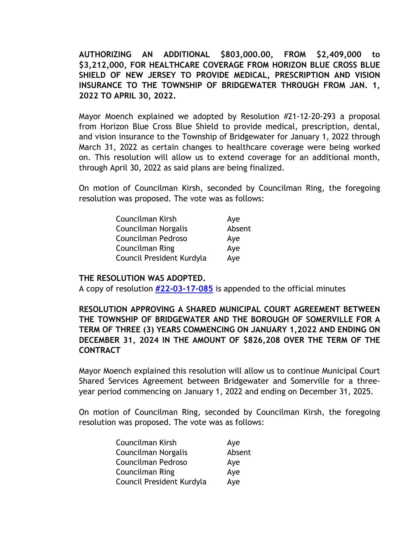**AUTHORIZING AN ADDITIONAL \$803,000.00, FROM \$2,409,000 to \$3,212,000, FOR HEALTHCARE COVERAGE FROM HORIZON BLUE CROSS BLUE SHIELD OF NEW JERSEY TO PROVIDE MEDICAL, PRESCRIPTION AND VISION INSURANCE TO THE TOWNSHIP OF BRIDGEWATER THROUGH FROM JAN. 1, 2022 TO APRIL 30, 2022.** 

Mayor Moench explained we adopted by Resolution #21-12-20-293 a proposal from Horizon Blue Cross Blue Shield to provide medical, prescription, dental, and vision insurance to the Township of Bridgewater for January 1, 2022 through March 31, 2022 as certain changes to healthcare coverage were being worked on. This resolution will allow us to extend coverage for an additional month, through April 30, 2022 as said plans are being finalized.

On motion of Councilman Kirsh, seconded by Councilman Ring, the foregoing resolution was proposed. The vote was as follows:

| Councilman Kirsh          | Aye    |
|---------------------------|--------|
| Councilman Norgalis       | Absent |
| Councilman Pedroso        | Aye    |
| Councilman Ring           | Aye    |
| Council President Kurdyla | Aye    |

## **THE RESOLUTION WAS ADOPTED.**

A copy of resolution **[#22-03-17-085](https://www.bridgewaternj.gov/wp-content/uploads/2022/06/22-03-17-085.pdf)** is appended to the official minutes

**RESOLUTION APPROVING A SHARED MUNICIPAL COURT AGREEMENT BETWEEN THE TOWNSHIP OF BRIDGEWATER AND THE BOROUGH OF SOMERVILLE FOR A TERM OF THREE (3) YEARS COMMENCING ON JANUARY 1,2022 AND ENDING ON DECEMBER 31, 2024 IN THE AMOUNT OF \$826,208 OVER THE TERM OF THE CONTRACT** 

Mayor Moench explained this resolution will allow us to continue Municipal Court Shared Services Agreement between Bridgewater and Somerville for a threeyear period commencing on January 1, 2022 and ending on December 31, 2025.

On motion of Councilman Ring, seconded by Councilman Kirsh, the foregoing resolution was proposed. The vote was as follows:

| Councilman Kirsh          | Aye    |
|---------------------------|--------|
| Councilman Norgalis       | Absent |
| Councilman Pedroso        | Aye    |
| Councilman Ring           | Aye    |
| Council President Kurdyla | Aye    |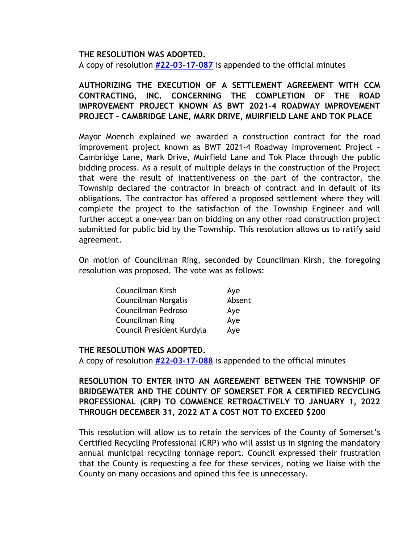## **THE RESOLUTION WAS ADOPTED.**

A copy of resolution **[#22-03-17-087](https://www.bridgewaternj.gov/wp-content/uploads/2022/06/22-03-17-087.pdf)** is appended to the official minutes

# **AUTHORIZING THE EXECUTION OF A SETTLEMENT AGREEMENT WITH CCM CONTRACTING, INC. CONCERNING THE COMPLETION OF THE ROAD IMPROVEMENT PROJECT KNOWN AS BWT 2021-4 ROADWAY IMPROVEMENT PROJECT – CAMBRIDGE LANE, MARK DRIVE, MUIRFIELD LANE AND TOK PLACE**

Mayor Moench explained we awarded a construction contract for the road improvement project known as BWT 2021-4 Roadway Improvement Project – Cambridge Lane, Mark Drive, Muirfield Lane and Tok Place through the public bidding process. As a result of multiple delays in the construction of the Project that were the result of inattentiveness on the part of the contractor, the Township declared the contractor in breach of contract and in default of its obligations. The contractor has offered a proposed settlement where they will complete the project to the satisfaction of the Township Engineer and will further accept a one-year ban on bidding on any other road construction project submitted for public bid by the Township. This resolution allows us to ratify said agreement.

On motion of Councilman Ring, seconded by Councilman Kirsh, the foregoing resolution was proposed. The vote was as follows:

| Councilman Kirsh          | Aye    |
|---------------------------|--------|
| Councilman Norgalis       | Absent |
| Councilman Pedroso        | Aye    |
| Councilman Ring           | Aye    |
| Council President Kurdyla | Aye    |

## **THE RESOLUTION WAS ADOPTED.**

A copy of resolution **[#22-03-17-088](https://www.bridgewaternj.gov/wp-content/uploads/2022/06/22-03-17-088.pdf)** is appended to the official minutes

## **RESOLUTION TO ENTER INTO AN AGREEMENT BETWEEN THE TOWNSHIP OF BRIDGEWATER AND THE COUNTY OF SOMERSET FOR A CERTIFIED RECYCLING PROFESSIONAL (CRP) TO COMMENCE RETROACTIVELY TO JANUARY 1, 2022 THROUGH DECEMBER 31, 2022 AT A COST NOT TO EXCEED \$200**

This resolution will allow us to retain the services of the County of Somerset's Certified Recycling Professional (CRP) who will assist us in signing the mandatory annual municipal recycling tonnage report. Council expressed their frustration that the County is requesting a fee for these services, noting we liaise with the County on many occasions and opined this fee is unnecessary.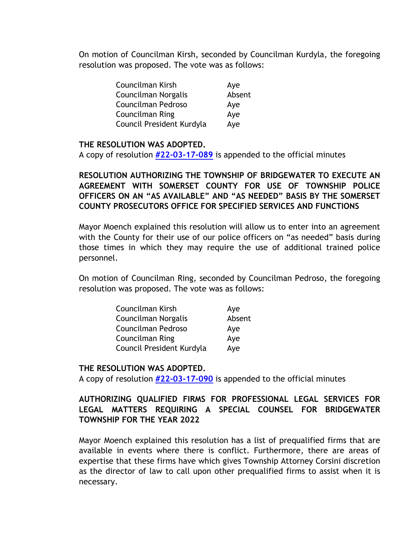On motion of Councilman Kirsh, seconded by Councilman Kurdyla, the foregoing resolution was proposed. The vote was as follows:

| Councilman Kirsh          | Aye    |
|---------------------------|--------|
| Councilman Norgalis       | Absent |
| Councilman Pedroso        | Aye    |
| Councilman Ring           | Aye    |
| Council President Kurdyla | Aye    |

## **THE RESOLUTION WAS ADOPTED.**

A copy of resolution **[#22-03-17-089](https://www.bridgewaternj.gov/wp-content/uploads/2022/06/22-03-17-089.pdf)** is appended to the official minutes

**RESOLUTION AUTHORIZING THE TOWNSHIP OF BRIDGEWATER TO EXECUTE AN AGREEMENT WITH SOMERSET COUNTY FOR USE OF TOWNSHIP POLICE OFFICERS ON AN "AS AVAILABLE" AND "AS NEEDED" BASIS BY THE SOMERSET COUNTY PROSECUTORS OFFICE FOR SPECIFIED SERVICES AND FUNCTIONS** 

Mayor Moench explained this resolution will allow us to enter into an agreement with the County for their use of our police officers on "as needed" basis during those times in which they may require the use of additional trained police personnel.

On motion of Councilman Ring, seconded by Councilman Pedroso, the foregoing resolution was proposed. The vote was as follows:

| Councilman Kirsh          | Aye    |
|---------------------------|--------|
| Councilman Norgalis       | Absent |
| Councilman Pedroso        | Aye    |
| Councilman Ring           | Aye    |
| Council President Kurdyla | Aye    |

## **THE RESOLUTION WAS ADOPTED.**

A copy of resolution **[#22-03-17-090](https://www.bridgewaternj.gov/wp-content/uploads/2022/06/22-03-17-090.pdf)** is appended to the official minutes

## **AUTHORIZING QUALIFIED FIRMS FOR PROFESSIONAL LEGAL SERVICES FOR LEGAL MATTERS REQUIRING A SPECIAL COUNSEL FOR BRIDGEWATER TOWNSHIP FOR THE YEAR 2022**

Mayor Moench explained this resolution has a list of prequalified firms that are available in events where there is conflict. Furthermore, there are areas of expertise that these firms have which gives Township Attorney Corsini discretion as the director of law to call upon other prequalified firms to assist when it is necessary.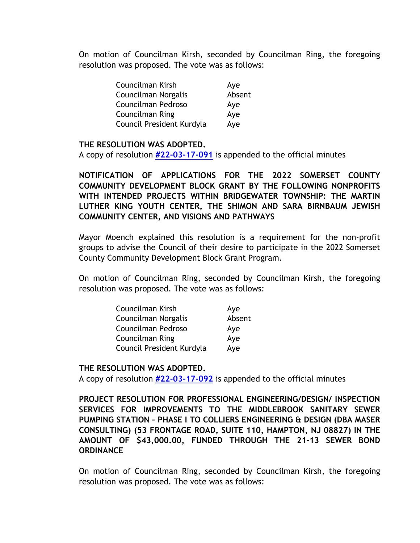On motion of Councilman Kirsh, seconded by Councilman Ring, the foregoing resolution was proposed. The vote was as follows:

| Councilman Kirsh          | Aye    |
|---------------------------|--------|
| Councilman Norgalis       | Absent |
| Councilman Pedroso        | Aye    |
| <b>Councilman Ring</b>    | Aye    |
| Council President Kurdyla | Aye    |

## **THE RESOLUTION WAS ADOPTED.**

A copy of resolution **[#22-03-17-091](https://www.bridgewaternj.gov/wp-content/uploads/2022/06/22-03-17-091.pdf)** is appended to the official minutes

**NOTIFICATION OF APPLICATIONS FOR THE 2022 SOMERSET COUNTY COMMUNITY DEVELOPMENT BLOCK GRANT BY THE FOLLOWING NONPROFITS WITH INTENDED PROJECTS WITHIN BRIDGEWATER TOWNSHIP: THE MARTIN LUTHER KING YOUTH CENTER, THE SHIMON AND SARA BIRNBAUM JEWISH COMMUNITY CENTER, AND VISIONS AND PATHWAYS** 

Mayor Moench explained this resolution is a requirement for the non-profit groups to advise the Council of their desire to participate in the 2022 Somerset County Community Development Block Grant Program.

On motion of Councilman Ring, seconded by Councilman Kirsh, the foregoing resolution was proposed. The vote was as follows:

| Councilman Kirsh          | Aye    |
|---------------------------|--------|
| Councilman Norgalis       | Absent |
| Councilman Pedroso        | Aye    |
| Councilman Ring           | Aye    |
| Council President Kurdyla | Aye    |

## **THE RESOLUTION WAS ADOPTED.**

A copy of resolution **[#22-03-17-092](https://www.bridgewaternj.gov/wp-content/uploads/2022/06/22-03-17-092.pdf)** is appended to the official minutes

**PROJECT RESOLUTION FOR PROFESSIONAL ENGINEERING/DESIGN/ INSPECTION SERVICES FOR IMPROVEMENTS TO THE MIDDLEBROOK SANITARY SEWER PUMPING STATION – PHASE I TO COLLIERS ENGINEERING & DESIGN (DBA MASER CONSULTING) (53 FRONTAGE ROAD, SUITE 110, HAMPTON, NJ 08827) IN THE AMOUNT OF \$43,000.00, FUNDED THROUGH THE 21-13 SEWER BOND ORDINANCE** 

On motion of Councilman Ring, seconded by Councilman Kirsh, the foregoing resolution was proposed. The vote was as follows: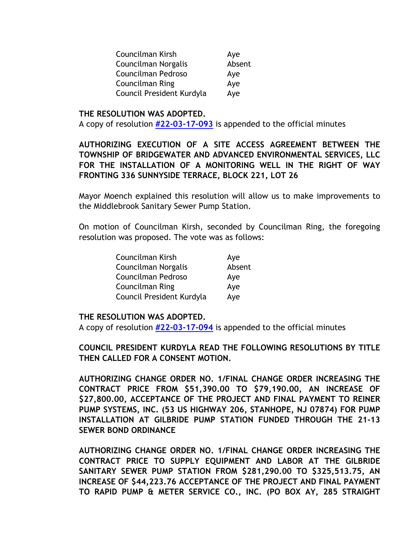| Councilman Kirsh          | Aye    |
|---------------------------|--------|
| Councilman Norgalis       | Absent |
| Councilman Pedroso        | Aye    |
| <b>Councilman Ring</b>    | Aye    |
| Council President Kurdyla | Aye    |

#### **THE RESOLUTION WAS ADOPTED.**

A copy of resolution **[#22-03-17-093](https://www.bridgewaternj.gov/wp-content/uploads/2022/06/22-03-17-093.pdf)** is appended to the official minutes

## **AUTHORIZING EXECUTION OF A SITE ACCESS AGREEMENT BETWEEN THE TOWNSHIP OF BRIDGEWATER AND ADVANCED ENVIRONMENTAL SERVICES, LLC FOR THE INSTALLATION OF A MONITORING WELL IN THE RIGHT OF WAY FRONTING 336 SUNNYSIDE TERRACE, BLOCK 221, LOT 26**

Mayor Moench explained this resolution will allow us to make improvements to the Middlebrook Sanitary Sewer Pump Station.

On motion of Councilman Kirsh, seconded by Councilman Ring, the foregoing resolution was proposed. The vote was as follows:

| Councilman Kirsh          | Aye    |
|---------------------------|--------|
| Councilman Norgalis       | Absent |
| Councilman Pedroso        | Aye    |
| <b>Councilman Ring</b>    | Aye    |
| Council President Kurdyla | Aye    |

## **THE RESOLUTION WAS ADOPTED.**

A copy of resolution **[#22-03-17-094](https://www.bridgewaternj.gov/wp-content/uploads/2022/06/22-03-17-094.pdf)** is appended to the official minutes

**COUNCIL PRESIDENT KURDYLA READ THE FOLLOWING RESOLUTIONS BY TITLE THEN CALLED FOR A CONSENT MOTION.** 

**AUTHORIZING CHANGE ORDER NO. 1/FINAL CHANGE ORDER INCREASING THE CONTRACT PRICE FROM \$51,390.00 TO \$79,190.00, AN INCREASE OF \$27,800.00, ACCEPTANCE OF THE PROJECT AND FINAL PAYMENT TO REINER PUMP SYSTEMS, INC. (53 US HIGHWAY 206, STANHOPE, NJ 07874) FOR PUMP INSTALLATION AT GILBRIDE PUMP STATION FUNDED THROUGH THE 21-13 SEWER BOND ORDINANCE** 

**AUTHORIZING CHANGE ORDER NO. 1/FINAL CHANGE ORDER INCREASING THE CONTRACT PRICE TO SUPPLY EQUIPMENT AND LABOR AT THE GILBRIDE SANITARY SEWER PUMP STATION FROM \$281,290.00 TO \$325,513.75, AN INCREASE OF \$44,223.76 ACCEPTANCE OF THE PROJECT AND FINAL PAYMENT TO RAPID PUMP & METER SERVICE CO., INC. (PO BOX AY, 285 STRAIGHT**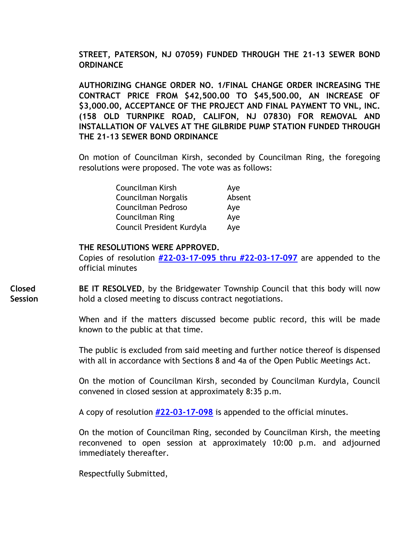## **STREET, PATERSON, NJ 07059) FUNDED THROUGH THE 21-13 SEWER BOND ORDINANCE**

**AUTHORIZING CHANGE ORDER NO. 1/FINAL CHANGE ORDER INCREASING THE CONTRACT PRICE FROM \$42,500.00 TO \$45,500.00, AN INCREASE OF \$3,000.00, ACCEPTANCE OF THE PROJECT AND FINAL PAYMENT TO VNL, INC. (158 OLD TURNPIKE ROAD, CALIFON, NJ 07830) FOR REMOVAL AND INSTALLATION OF VALVES AT THE GILBRIDE PUMP STATION FUNDED THROUGH THE 21-13 SEWER BOND ORDINANCE** 

On motion of Councilman Kirsh, seconded by Councilman Ring, the foregoing resolutions were proposed. The vote was as follows:

| Councilman Kirsh          | Aye    |
|---------------------------|--------|
| Councilman Norgalis       | Absent |
| Councilman Pedroso        | Aye    |
| Councilman Ring           | Aye    |
| Council President Kurdyla | Aye    |

## **THE RESOLUTIONS WERE APPROVED.**

Copies of resolution **[#22-03-17-095 thru #22-03-17-097](https://www.bridgewaternj.gov/wp-content/uploads/2022/06/22-03-17-095-thru-97.pdf)** are appended to the official minutes

**BE IT RESOLVED**, by the Bridgewater Township Council that this body will now hold a closed meeting to discuss contract negotiations. **Closed Session** 

> When and if the matters discussed become public record, this will be made known to the public at that time.

> The public is excluded from said meeting and further notice thereof is dispensed with all in accordance with Sections 8 and 4a of the Open Public Meetings Act.

> On the motion of Councilman Kirsh, seconded by Councilman Kurdyla, Council convened in closed session at approximately 8:35 p.m.

A copy of resolution **[#22-03-17-098](https://www.bridgewaternj.gov/wp-content/uploads/2022/06/22-03-17-098.pdf)** is appended to the official minutes.

On the motion of Councilman Ring, seconded by Councilman Kirsh, the meeting reconvened to open session at approximately 10:00 p.m. and adjourned immediately thereafter.

Respectfully Submitted,